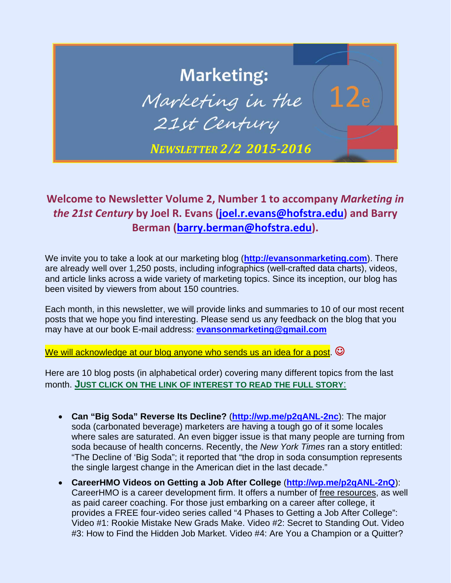## **Marketing:** Marketing in the 21st Century *NEWSLETTER 2/2 2015‐2016*

## **Welcome to Newsletter Volume 2, Number 1 to accompany** *Marketing in the 21st Century* **by Joel R. Evans (joel.r.evans@hofstra.edu) and Barry Berman (barry.berman@hofstra.edu).**

We invite you to take a look at our marketing blog (**http://evansonmarketing.com**). There are already well over 1,250 posts, including infographics (well-crafted data charts), videos, and article links across a wide variety of marketing topics. Since its inception, our blog has been visited by viewers from about 150 countries.

Each month, in this newsletter, we will provide links and summaries to 10 of our most recent posts that we hope you find interesting. Please send us any feedback on the blog that you may have at our book E-mail address: **evansonmarketing@gmail.com**

We will acknowledge at our blog anyone who sends us an idea for a post.  $\odot$ 

Here are 10 blog posts (in alphabetical order) covering many different topics from the last month. **JUST CLICK ON THE LINK OF INTEREST TO READ THE FULL STORY**:

- **Can "Big Soda" Reverse Its Decline?** (**http://wp.me/p2qANL-2nc**): The major soda (carbonated beverage) marketers are having a tough go of it some locales where sales are saturated. An even bigger issue is that many people are turning from soda because of health concerns. Recently, the *New York Times* ran a story entitled: "The Decline of 'Big Soda"; it reported that "the drop in soda consumption represents the single largest change in the American diet in the last decade."
- **CareerHMO Videos on Getting a Job After College** (**http://wp.me/p2qANL-2nQ**): CareerHMO is a career development firm. It offers a number of free resources, as well as paid career coaching. For those just embarking on a career after college, it provides a FREE four-video series called "4 Phases to Getting a Job After College": Video #1: Rookie Mistake New Grads Make. Video #2: Secret to Standing Out. Video #3: How to Find the Hidden Job Market. Video #4: Are You a Champion or a Quitter?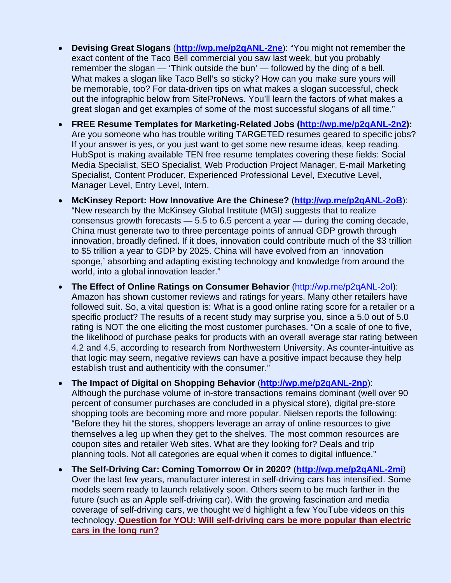- **Devising Great Slogans** (**http://wp.me/p2qANL-2ne**): "You might not remember the exact content of the Taco Bell commercial you saw last week, but you probably remember the slogan — 'Think outside the bun' — followed by the ding of a bell. What makes a slogan like Taco Bell's so sticky? How can you make sure yours will be memorable, too? For data-driven tips on what makes a slogan successful, check out the infographic below from SiteProNews. You'll learn the factors of what makes a great slogan and get examples of some of the most successful slogans of all time."
- **FREE Resume Templates for Marketing-Related Jobs (http://wp.me/p2qANL-2n2):**  Are you someone who has trouble writing TARGETED resumes geared to specific jobs? If your answer is yes, or you just want to get some new resume ideas, keep reading. HubSpot is making available TEN free resume templates covering these fields: Social Media Specialist, SEO Specialist, Web Production Project Manager, E-mail Marketing Specialist, Content Producer, Experienced Professional Level, Executive Level, Manager Level, Entry Level, Intern.
- **McKinsey Report: How Innovative Are the Chinese?** (**http://wp.me/p2qANL-2oB**): "New research by the McKinsey Global Institute (MGI) suggests that to realize consensus growth forecasts — 5.5 to 6.5 percent a year — during the coming decade, China must generate two to three percentage points of annual GDP growth through innovation, broadly defined. If it does, innovation could contribute much of the \$3 trillion to \$5 trillion a year to GDP by 2025. China will have evolved from an 'innovation sponge,' absorbing and adapting existing technology and knowledge from around the world, into a global innovation leader."
- **The Effect of Online Ratings on Consumer Behavior** (http://wp.me/p2qANL-2oI): Amazon has shown customer reviews and ratings for years. Many other retailers have followed suit. So, a vital question is: What is a good online rating score for a retailer or a specific product? The results of a recent study may surprise you, since a 5.0 out of 5.0 rating is NOT the one eliciting the most customer purchases. "On a scale of one to five, the likelihood of purchase peaks for products with an overall average star rating between 4.2 and 4.5, according to research from Northwestern University. As counter-intuitive as that logic may seem, negative reviews can have a positive impact because they help establish trust and authenticity with the consumer."
- **The Impact of Digital on Shopping Behavior** (**http://wp.me/p2qANL-2np**): Although the purchase volume of in-store transactions remains dominant (well over 90 percent of consumer purchases are concluded in a physical store), digital pre-store shopping tools are becoming more and more popular. Nielsen reports the following: "Before they hit the stores, shoppers leverage an array of online resources to give themselves a leg up when they get to the shelves. The most common resources are coupon sites and retailer Web sites. What are they looking for? Deals and trip planning tools. Not all categories are equal when it comes to digital influence."
- **The Self-Driving Car: Coming Tomorrow Or in 2020?** (**http://wp.me/p2qANL-2mi**) Over the last few years, manufacturer interest in self-driving cars has intensified. Some models seem ready to launch relatively soon. Others seem to be much farther in the future (such as an Apple self-driving car). With the growing fascination and media coverage of self-driving cars, we thought we'd highlight a few YouTube videos on this technology. **Question for YOU: Will self-driving cars be more popular than electric cars in the long run?**